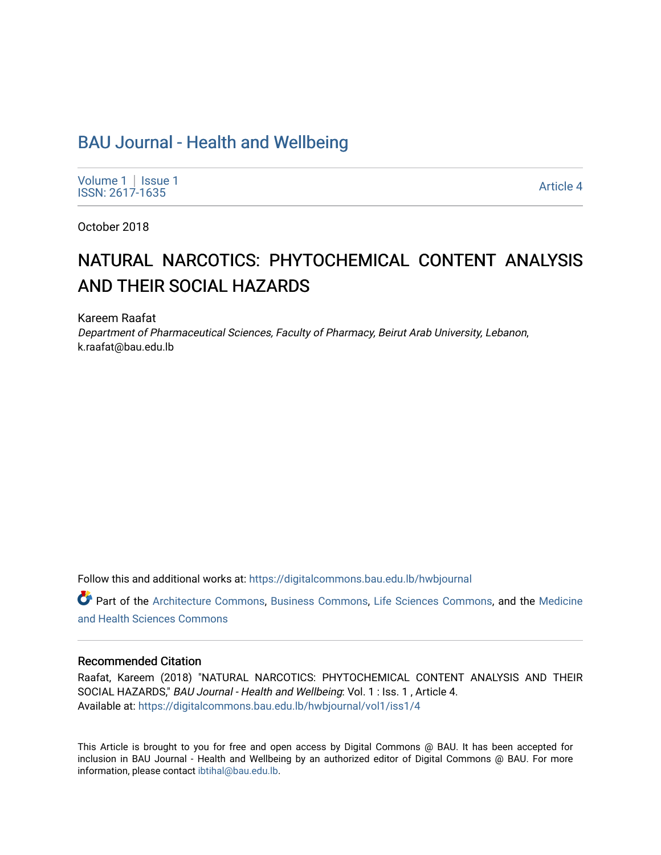# [BAU Journal - Health and Wellbeing](https://digitalcommons.bau.edu.lb/hwbjournal)

[Volume 1](https://digitalcommons.bau.edu.lb/hwbjournal/vol1) | Issue 1 Political Pressure Pressure in the Second Second Second Second Second Second Second Second Second Second Second Second Second Second Second Second Second Second Second Second Second Second Second Second Second Second Secon

October 2018

# NATURAL NARCOTICS: PHYTOCHEMICAL CONTENT ANALYSIS AND THEIR SOCIAL HAZARDS

Kareem Raafat Department of Pharmaceutical Sciences, Faculty of Pharmacy, Beirut Arab University, Lebanon, k.raafat@bau.edu.lb

Follow this and additional works at: [https://digitalcommons.bau.edu.lb/hwbjournal](https://digitalcommons.bau.edu.lb/hwbjournal?utm_source=digitalcommons.bau.edu.lb%2Fhwbjournal%2Fvol1%2Fiss1%2F4&utm_medium=PDF&utm_campaign=PDFCoverPages)

Part of the [Architecture Commons](http://network.bepress.com/hgg/discipline/773?utm_source=digitalcommons.bau.edu.lb%2Fhwbjournal%2Fvol1%2Fiss1%2F4&utm_medium=PDF&utm_campaign=PDFCoverPages), [Business Commons,](http://network.bepress.com/hgg/discipline/622?utm_source=digitalcommons.bau.edu.lb%2Fhwbjournal%2Fvol1%2Fiss1%2F4&utm_medium=PDF&utm_campaign=PDFCoverPages) [Life Sciences Commons](http://network.bepress.com/hgg/discipline/1016?utm_source=digitalcommons.bau.edu.lb%2Fhwbjournal%2Fvol1%2Fiss1%2F4&utm_medium=PDF&utm_campaign=PDFCoverPages), and the [Medicine](http://network.bepress.com/hgg/discipline/648?utm_source=digitalcommons.bau.edu.lb%2Fhwbjournal%2Fvol1%2Fiss1%2F4&utm_medium=PDF&utm_campaign=PDFCoverPages)  [and Health Sciences Commons](http://network.bepress.com/hgg/discipline/648?utm_source=digitalcommons.bau.edu.lb%2Fhwbjournal%2Fvol1%2Fiss1%2F4&utm_medium=PDF&utm_campaign=PDFCoverPages)

#### Recommended Citation

Raafat, Kareem (2018) "NATURAL NARCOTICS: PHYTOCHEMICAL CONTENT ANALYSIS AND THEIR SOCIAL HAZARDS," BAU Journal - Health and Wellbeing: Vol. 1 : Iss. 1 , Article 4. Available at: [https://digitalcommons.bau.edu.lb/hwbjournal/vol1/iss1/4](https://digitalcommons.bau.edu.lb/hwbjournal/vol1/iss1/4?utm_source=digitalcommons.bau.edu.lb%2Fhwbjournal%2Fvol1%2Fiss1%2F4&utm_medium=PDF&utm_campaign=PDFCoverPages) 

This Article is brought to you for free and open access by Digital Commons @ BAU. It has been accepted for inclusion in BAU Journal - Health and Wellbeing by an authorized editor of Digital Commons @ BAU. For more information, please contact [ibtihal@bau.edu.lb.](mailto:ibtihal@bau.edu.lb)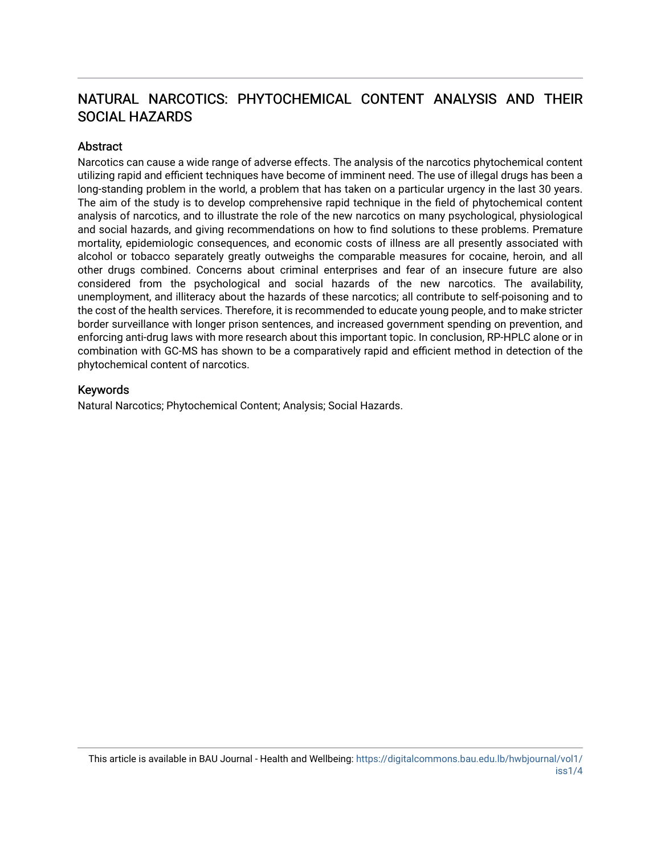## NATURAL NARCOTICS: PHYTOCHEMICAL CONTENT ANALYSIS AND THEIR SOCIAL HAZARDS

#### **Abstract**

Narcotics can cause a wide range of adverse effects. The analysis of the narcotics phytochemical content utilizing rapid and efficient techniques have become of imminent need. The use of illegal drugs has been a long-standing problem in the world, a problem that has taken on a particular urgency in the last 30 years. The aim of the study is to develop comprehensive rapid technique in the field of phytochemical content analysis of narcotics, and to illustrate the role of the new narcotics on many psychological, physiological and social hazards, and giving recommendations on how to find solutions to these problems. Premature mortality, epidemiologic consequences, and economic costs of illness are all presently associated with alcohol or tobacco separately greatly outweighs the comparable measures for cocaine, heroin, and all other drugs combined. Concerns about criminal enterprises and fear of an insecure future are also considered from the psychological and social hazards of the new narcotics. The availability, unemployment, and illiteracy about the hazards of these narcotics; all contribute to self-poisoning and to the cost of the health services. Therefore, it is recommended to educate young people, and to make stricter border surveillance with longer prison sentences, and increased government spending on prevention, and enforcing anti-drug laws with more research about this important topic. In conclusion, RP-HPLC alone or in combination with GC-MS has shown to be a comparatively rapid and efficient method in detection of the phytochemical content of narcotics.

#### Keywords

Natural Narcotics; Phytochemical Content; Analysis; Social Hazards.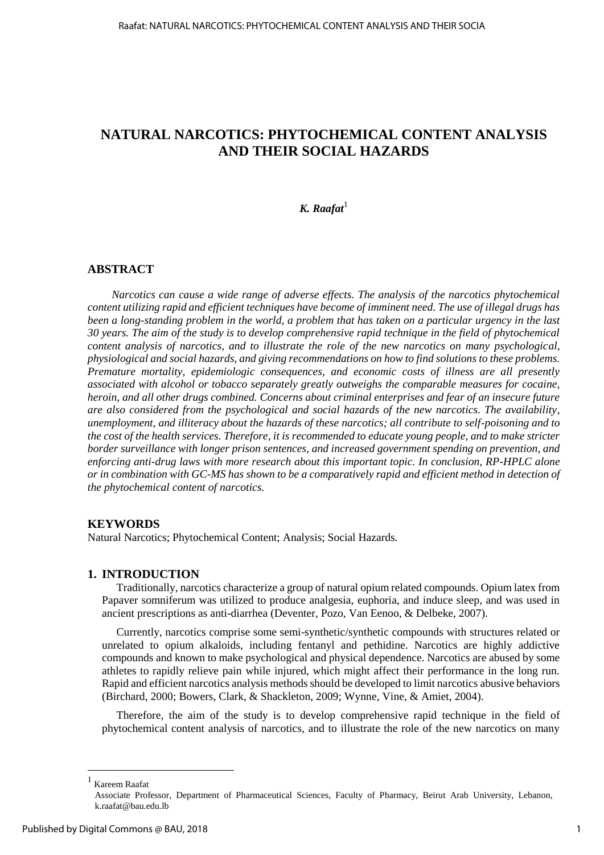## **NATURAL NARCOTICS: PHYTOCHEMICAL CONTENT ANALYSIS AND THEIR SOCIAL HAZARDS**

## $K.$ *Raafat*<sup>1</sup>

#### **ABSTRACT**

*Narcotics can cause a wide range of adverse effects. The analysis of the narcotics phytochemical content utilizing rapid and efficient techniques have become of imminent need. The use of illegal drugs has been a long-standing problem in the world, a problem that has taken on a particular urgency in the last 30 years. The aim of the study is to develop comprehensive rapid technique in the field of phytochemical content analysis of narcotics, and to illustrate the role of the new narcotics on many psychological, physiological and social hazards, and giving recommendations on how to find solutions to these problems. Premature mortality, epidemiologic consequences, and economic costs of illness are all presently associated with alcohol or tobacco separately greatly outweighs the comparable measures for cocaine, heroin, and all other drugs combined. Concerns about criminal enterprises and fear of an insecure future are also considered from the psychological and social hazards of the new narcotics. The availability, unemployment, and illiteracy about the hazards of these narcotics; all contribute to self-poisoning and to the cost of the health services. Therefore, it is recommended to educate young people, and to make stricter border surveillance with longer prison sentences, and increased government spending on prevention, and enforcing anti-drug laws with more research about this important topic. In conclusion, RP-HPLC alone or in combination with GC-MS has shown to be a comparatively rapid and efficient method in detection of the phytochemical content of narcotics.* 

#### **KEYWORDS**

Natural Narcotics; Phytochemical Content; Analysis; Social Hazards.

#### **1. INTRODUCTION**

Traditionally, narcotics characterize a group of natural opium related compounds. Opium latex from Papaver somniferum was utilized to produce analgesia, euphoria, and induce sleep, and was used in ancient prescriptions as anti-diarrhea [\(Deventer, Pozo, Van Eenoo, & Delbeke, 2007\)](#page-6-0).

Currently, narcotics comprise some semi-synthetic/synthetic compounds with structures related or unrelated to opium alkaloids, including fentanyl and pethidine. Narcotics are highly addictive compounds and known to make psychological and physical dependence. Narcotics are abused by some athletes to rapidly relieve pain while injured, which might affect their performance in the long run. Rapid and efficient narcotics analysis methods should be developed to limit narcotics abusive behaviors (Birchard, 2000; [Bowers, Clark, & Shackleton, 2009;](#page-6-1) [Wynne, Vine, & Amiet, 2004\)](#page-7-0).

Therefore, the aim of the study is to develop comprehensive rapid technique in the field of phytochemical content analysis of narcotics, and to illustrate the role of the new narcotics on many

 $\overline{a}$ 

<sup>1</sup> Kareem Raafat

Associate Professor, Department of Pharmaceutical Sciences, Faculty of Pharmacy, Beirut Arab University, Lebanon, k.raafat@bau.edu.lb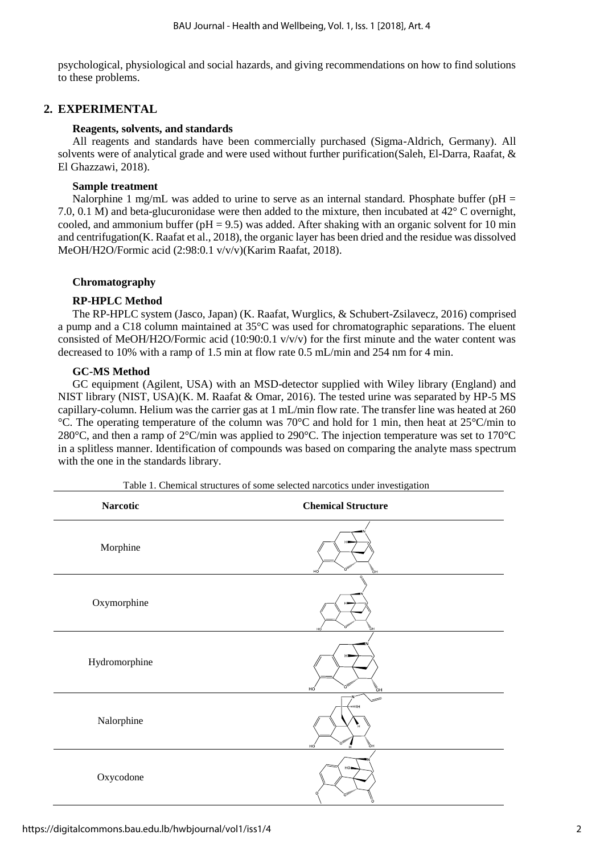psychological, physiological and social hazards, and giving recommendations on how to find solutions to these problems.

### **2. EXPERIMENTAL**

#### **Reagents, solvents, and standards**

All reagents and standards have been commercially purchased (Sigma-Aldrich, Germany). All solvents were of analytical grade and were used without further purification[\(Saleh, El-Darra, Raafat, &](#page-7-1)  [El Ghazzawi, 2018\)](#page-7-1).

#### **Sample treatment**

Nalorphine 1 mg/mL was added to urine to serve as an internal standard. Phosphate buffer ( $pH =$ 7.0, 0.1 M) and beta-glucuronidase were then added to the mixture, then incubated at 42° C overnight, cooled, and ammonium buffer ( $pH = 9.5$ ) was added. After shaking with an organic solvent for 10 min and centrifugation[\(K. Raafat et al., 2018\)](#page-6-2), the organic layer has been dried and the residue was dissolved MeOH/H2O/Formic acid (2:98:0.1 v/v/v)[\(Karim Raafat, 2018\)](#page-6-3).

#### **Chromatography**

#### **RP-HPLC Method**

The RP-HPLC system (Jasco, Japan) [\(K. Raafat, Wurglics, & Schubert-Zsilavecz, 2016\)](#page-7-2) comprised a pump and a C18 column maintained at 35°C was used for chromatographic separations. The eluent consisted of MeOH/H2O/Formic acid (10:90:0.1  $v/v/v$ ) for the first minute and the water content was decreased to 10% with a ramp of 1.5 min at flow rate 0.5 mL/min and 254 nm for 4 min.

#### **GC-MS Method**

GC equipment (Agilent, USA) with an MSD-detector supplied with Wiley library (England) and NIST library (NIST, USA)[\(K. M. Raafat & Omar, 2016\)](#page-7-3). The tested urine was separated by HP-5 MS capillary-column. Helium was the carrier gas at 1 mL/min flow rate. The transfer line was heated at 260 °C. The operating temperature of the column was 70°C and hold for 1 min, then heat at 25°C/min to 280°C, and then a ramp of 2°C/min was applied to 290°C. The injection temperature was set to 170°C in a splitless manner. Identification of compounds was based on comparing the analyte mass spectrum with the one in the standards library.

| <b>Narcotic</b> | <b>Chemical Structure</b>                                            |
|-----------------|----------------------------------------------------------------------|
| Morphine        | $\tilde{\mathcal{F}}_{\text{OH}}$<br>`o"<br>нó                       |
| Oxymorphine     | ै<br>ै⊬                                                              |
| Hydromorphine   | H<br>$>$ O <sub>thinin</sub><br>$\frac{1}{\sqrt{2}}$<br>нó           |
| Nalorphine      | -<br><b>HUILIN</b><br>н<br><b>MARK</b><br>.O <sub>ffinin</sub><br>нó |
| Oxycodone       | HO.<br>,O <sub>thin</sub>                                            |

Table 1. Chemical structures of some selected narcotics under investigation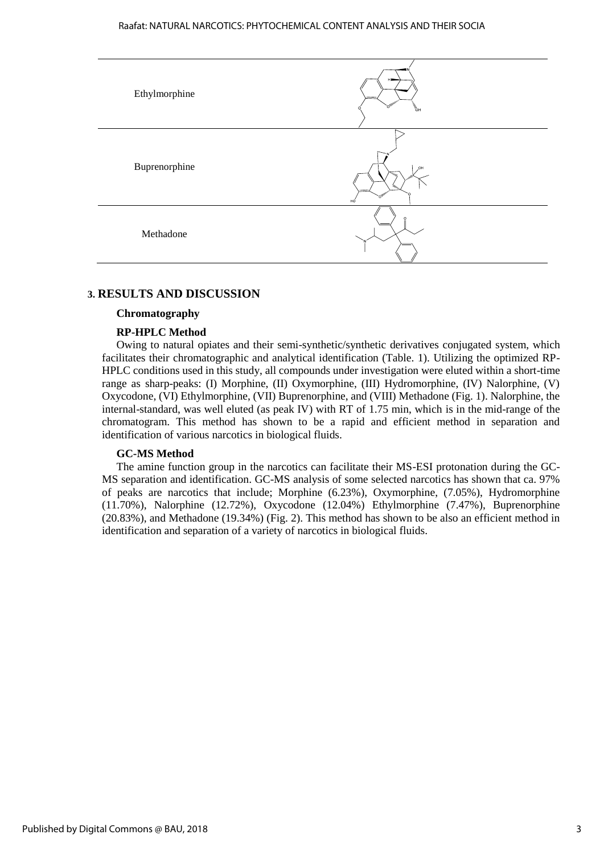

#### **3. RESULTS AND DISCUSSION**

#### **Chromatography**

#### **RP-HPLC Method**

Owing to natural opiates and their semi-synthetic/synthetic derivatives conjugated system, which facilitates their chromatographic and analytical identification (Table. 1). Utilizing the optimized RP-HPLC conditions used in this study, all compounds under investigation were eluted within a short-time range as sharp-peaks: (I) Morphine, (II) Oxymorphine, (III) Hydromorphine, (IV) Nalorphine, (V) Oxycodone, (VI) Ethylmorphine, (VII) Buprenorphine, and (VIII) Methadone (Fig. 1). Nalorphine, the internal-standard, was well eluted (as peak IV) with RT of 1.75 min, which is in the mid-range of the chromatogram. This method has shown to be a rapid and efficient method in separation and identification of various narcotics in biological fluids.

#### **GC-MS Method**

The amine function group in the narcotics can facilitate their MS-ESI protonation during the GC-MS separation and identification. GC-MS analysis of some selected narcotics has shown that ca. 97% of peaks are narcotics that include; Morphine (6.23%), Oxymorphine, (7.05%), Hydromorphine (11.70%), Nalorphine (12.72%), Oxycodone (12.04%) Ethylmorphine (7.47%), Buprenorphine (20.83%), and Methadone (19.34%) (Fig. 2). This method has shown to be also an efficient method in identification and separation of a variety of narcotics in biological fluids.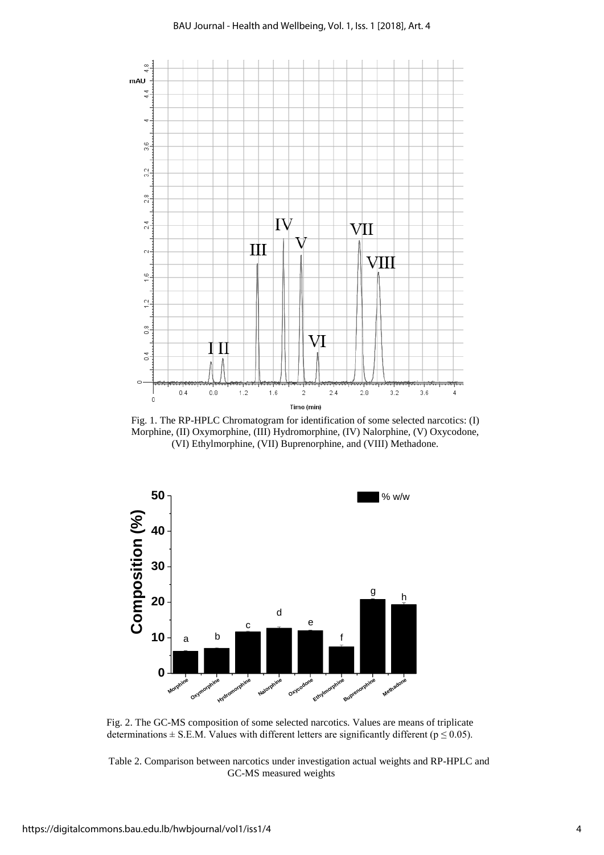

Fig. 1. The RP-HPLC Chromatogram for identification of some selected narcotics: (I) Morphine, (II) Oxymorphine, (III) Hydromorphine, (IV) Nalorphine, (V) Oxycodone, (VI) Ethylmorphine, (VII) Buprenorphine, and (VIII) Methadone.



Fig. 2. The GC-MS composition of some selected narcotics. Values are means of triplicate determinations  $\pm$  S.E.M. Values with different letters are significantly different ( $p \le 0.05$ ).

Table 2. Comparison between narcotics under investigation actual weights and RP-HPLC and GC-MS measured weights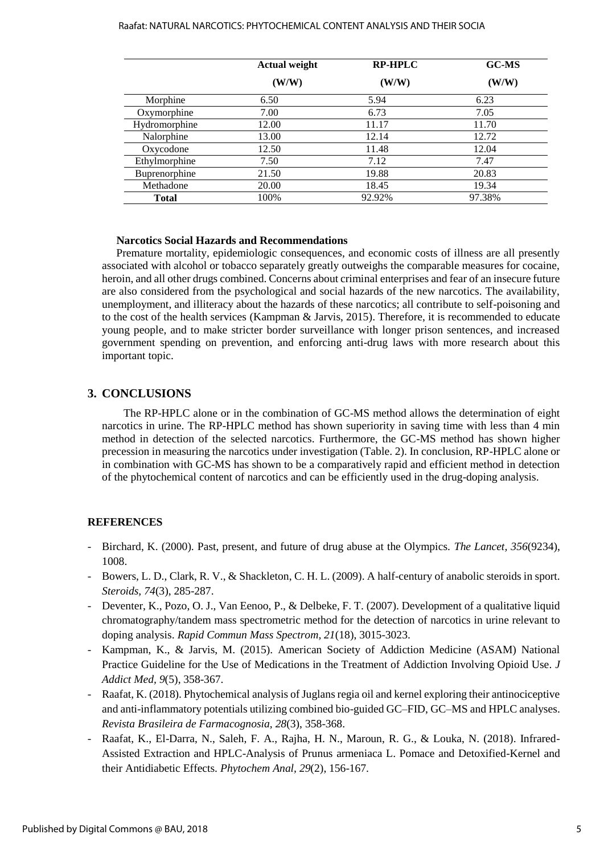#### Raafat: NATURAL NARCOTICS: PHYTOCHEMICAL CONTENT ANALYSIS AND THEIR SOCIA

|               | <b>Actual weight</b> | <b>RP-HPLC</b><br>(W/W) | <b>GC-MS</b><br>(W/W) |
|---------------|----------------------|-------------------------|-----------------------|
|               | (W/W)                |                         |                       |
| Morphine      | 6.50                 | 5.94                    | 6.23                  |
| Oxymorphine   | 7.00                 | 6.73                    | 7.05                  |
| Hydromorphine | 12.00                | 11.17                   | 11.70                 |
| Nalorphine    | 13.00                | 12.14                   | 12.72                 |
| Oxycodone     | 12.50                | 11.48                   | 12.04                 |
| Ethylmorphine | 7.50                 | 7.12                    | 7.47                  |
| Buprenorphine | 21.50                | 19.88                   | 20.83                 |
| Methadone     | 20.00                | 18.45                   | 19.34                 |
| Total         | 100%                 | 92.92%                  | 97.38%                |

#### **Narcotics Social Hazards and Recommendations**

Premature mortality, epidemiologic consequences, and economic costs of illness are all presently associated with alcohol or tobacco separately greatly outweighs the comparable measures for cocaine, heroin, and all other drugs combined. Concerns about criminal enterprises and fear of an insecure future are also considered from the psychological and social hazards of the new narcotics. The availability, unemployment, and illiteracy about the hazards of these narcotics; all contribute to self-poisoning and to the cost of the health services [\(Kampman & Jarvis, 2015\)](#page-6-4). Therefore, it is recommended to educate young people, and to make stricter border surveillance with longer prison sentences, and increased government spending on prevention, and enforcing anti-drug laws with more research about this important topic.

#### **3. CONCLUSIONS**

The RP-HPLC alone or in the combination of GC-MS method allows the determination of eight narcotics in urine. The RP-HPLC method has shown superiority in saving time with less than 4 min method in detection of the selected narcotics. Furthermore, the GC-MS method has shown higher precession in measuring the narcotics under investigation (Table. 2). In conclusion, RP-HPLC alone or in combination with GC-MS has shown to be a comparatively rapid and efficient method in detection of the phytochemical content of narcotics and can be efficiently used in the drug-doping analysis.

#### **REFERENCES**

- Birchard, K. (2000). Past, present, and future of drug abuse at the Olympics. *The Lancet, 356*(9234), 1008.
- <span id="page-6-1"></span>- Bowers, L. D., Clark, R. V., & Shackleton, C. H. L. (2009). A half-century of anabolic steroids in sport. *Steroids, 74*(3), 285-287.
- <span id="page-6-0"></span>- Deventer, K., Pozo, O. J., Van Eenoo, P., & Delbeke, F. T. (2007). Development of a qualitative liquid chromatography/tandem mass spectrometric method for the detection of narcotics in urine relevant to doping analysis. *Rapid Commun Mass Spectrom, 21*(18), 3015-3023.
- <span id="page-6-4"></span>- Kampman, K., & Jarvis, M. (2015). American Society of Addiction Medicine (ASAM) National Practice Guideline for the Use of Medications in the Treatment of Addiction Involving Opioid Use. *J Addict Med, 9*(5), 358-367.
- <span id="page-6-3"></span>- Raafat, K. (2018). Phytochemical analysis of Juglans regia oil and kernel exploring their antinociceptive and anti-inflammatory potentials utilizing combined bio-guided GC–FID, GC–MS and HPLC analyses. *Revista Brasileira de Farmacognosia, 28*(3), 358-368.
- <span id="page-6-2"></span>Raafat, K., El-Darra, N., Saleh, F. A., Rajha, H. N., Maroun, R. G., & Louka, N. (2018). Infrared-Assisted Extraction and HPLC-Analysis of Prunus armeniaca L. Pomace and Detoxified-Kernel and their Antidiabetic Effects. *Phytochem Anal, 29*(2), 156-167.